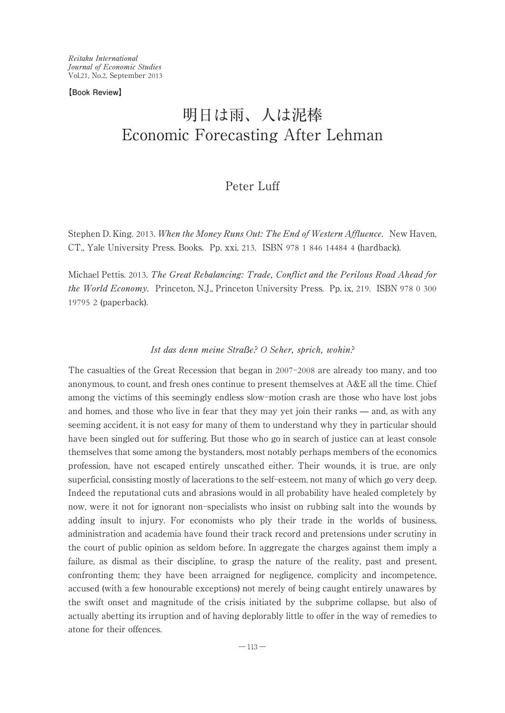**【Book Review】**

# 明日は雨、人は泥棒 Economic Forecasting After Lehman

# Peter Luff

Stephen D. King. 2013. When the Money Runs Out: The End of Western Affluence. New Haven, CT., Yale University Press.Books. Pp.xxi, 213.ISBN 978 1 846 14484 4 (hardback).

Michael Pettis. 2013. The Great Rebalancing: Trade, Conflict and the Perilous Road Ahead for the World Economy. Princeton, N.J., Princeton University Press. Pp. ix, 219. ISBN 978 0 300 19795 2 (paperback).

## Ist das denn meine Straße? O Seher, sprich, wohin?

The casualties of the Great Recession that began in 2007-2008 are already too many, and too anonymous, to count, and fresh ones continue to present themselves at  $A \& E$  all the time. Chief among the victims of this seemingly endless slow-motion crash are those who have lost jobs and homes, and those who live in fear that they may yet join their ranks ̶ and, as with any seeming accident, it is not easy for many of them to understand why they in particular should have been singled out for suffering. But those who go in search of justice can at least console themselves that some among the bystanders, most notably perhaps members of the economics profession, have not escaped entirely unscathed either.Their wounds, it is true, are only superficial, consisting mostly of lacerations to the self-esteem, not many of which go very deep. Indeed the reputational cuts and abrasions would in all probability have healed completely by now, were it not for ignorant non-specialists who insist on rubbing salt into the wounds by adding insult to injury. For economists who ply their trade in the worlds of business, administration and academia have found their track record and pretensions under scrutiny in the court of public opinion as seldom before.In aggregate the charges against them imply a failure, as dismal as their discipline, to grasp the nature of the reality, past and present, confronting them; they have been arraigned for negligence, complicity and incompetence, accused (with a few honourable exceptions) not merely of being caught entirely unawares by the swift onset and magnitude of the crisis initiated by the subprime collapse, but also of actually abetting its irruption and of having deplorably little to offer in the way of remedies to atone for their offences.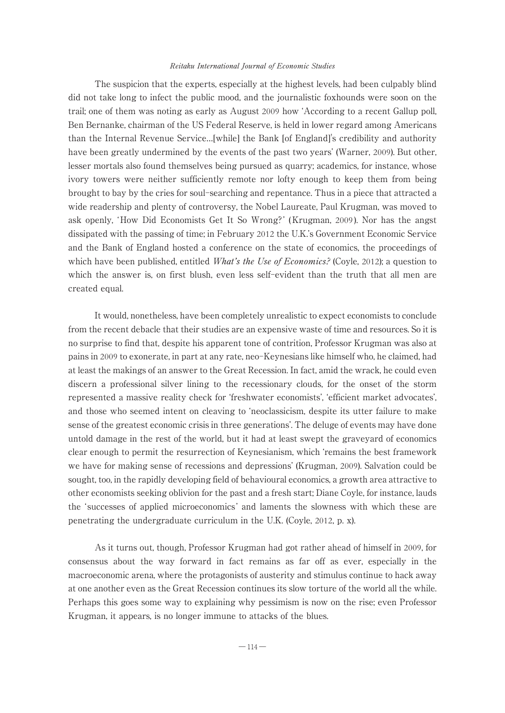The suspicion that the experts, especially at the highest levels, had been culpably blind did not take long to infect the public mood, and the journalistic foxhounds were soon on the trail; one of them was noting as early as August 2009 how ʻAccording to a recent Gallup poll, Ben Bernanke, chairman of the US Federal Reserve, is held in lower regard among Americans than the Internal Revenue Service…[while] the Bank [of England]'s credibility and authority have been greatly undermined by the events of the past two years' (Warner, 2009). But other, lesser mortals also found themselves being pursued as quarry; academics, for instance, whose ivory towers were neither sufficiently remote nor lofty enough to keep them from being brought to bay by the cries for soul-searching and repentance.Thus in a piece that attracted a wide readership and plenty of controversy, the Nobel Laureate, Paul Krugman, was moved to ask openly, ʻHow Did Economists Get It So Wrong? ' (Krugman, 2009 ).Nor has the angst dissipated with the passing of time; in February 2012 the U.K.'s Government Economic Service and the Bank of England hosted a conference on the state of economics, the proceedings of which have been published, entitled *What's the Use of Economics?* (Coyle, 2012); a question to which the answer is, on first blush, even less self-evident than the truth that all men are created equal.

It would, nonetheless, have been completely unrealistic to expect economists to conclude from the recent debacle that their studies are an expensive waste of time and resources.So it is no surprise to find that, despite his apparent tone of contrition, Professor Krugman was also at pains in 2009 to exonerate, in part at any rate, neo-Keynesians like himself who, he claimed, had at least the makings of an answer to the Great Recession.In fact, amid the wrack, he could even discern a professional silver lining to the recessionary clouds, for the onset of the storm represented a massive reality check for ʻfreshwater economists', ʻefficient market advocates', and those who seemed intent on cleaving to ʻneoclassicism, despite its utter failure to make sense of the greatest economic crisis in three generations'.The deluge of events may have done untold damage in the rest of the world, but it had at least swept the graveyard of economics clear enough to permit the resurrection of Keynesianism, which ʻremains the best framework we have for making sense of recessions and depressions' (Krugman, 2009). Salvation could be sought, too, in the rapidly developing field of behavioural economics, a growth area attractive to other economists seeking oblivion for the past and a fresh start; Diane Coyle, for instance, lauds the ʻsuccesses of applied microeconomics ' and laments the slowness with which these are penetrating the undergraduate curriculum in the U.K. (Coyle, 2012, p. x).

As it turns out, though, Professor Krugman had got rather ahead of himself in 2009, for consensus about the way forward in fact remains as far off as ever, especially in the macroeconomic arena, where the protagonists of austerity and stimulus continue to hack away at one another even as the Great Recession continues its slow torture of the world all the while. Perhaps this goes some way to explaining why pessimism is now on the rise; even Professor Krugman, it appears, is no longer immune to attacks of the blues.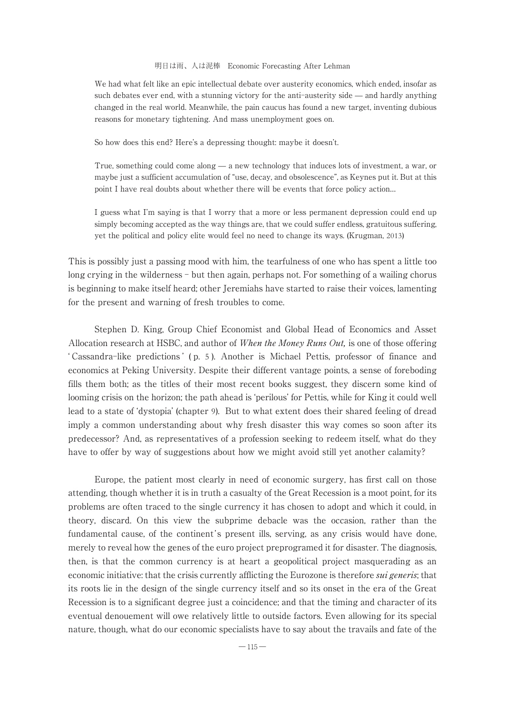We had what felt like an epic intellectual debate over austerity economics, which ended, insofar as such debates ever end, with a stunning victory for the anti-austerity side — and hardly anything changed in the real world.Meanwhile, the pain caucus has found a new target, inventing dubious reasons for monetary tightening.And mass unemployment goes on.

So how does this end? Here's a depressing thought: maybe it doesn't.

True, something could come along — a new technology that induces lots of investment, a war, or maybe just a sufficient accumulation of "use, decay, and obsolescence", as Keynes put it. But at this point I have real doubts about whether there will be events that force policy action…

I guess what I'm saying is that I worry that a more or less permanent depression could end up simply becoming accepted as the way things are, that we could suffer endless, gratuitous suffering, yet the political and policy elite would feel no need to change its ways.(Krugman, 2013)

This is possibly just a passing mood with him, the tearfulness of one who has spent a little too long crying in the wilderness – but then again, perhaps not. For something of a wailing chorus is beginning to make itself heard; other Jeremiahs have started to raise their voices, lamenting for the present and warning of fresh troubles to come.

Stephen D.King, Group Chief Economist and Global Head of Economics and Asset Allocation research at HSBC, and author of When the Money Runs Out, is one of those offering ʻ Cassandra-like predictions ' ( p. 5 ).Another is Michael Pettis, professor of finance and economics at Peking University. Despite their different vantage points, a sense of foreboding fills them both; as the titles of their most recent books suggest, they discern some kind of looming crisis on the horizon; the path ahead is ʻperilous' for Pettis, while for King it could well lead to a state of 'dystopia' (chapter 9). But to what extent does their shared feeling of dread imply a common understanding about why fresh disaster this way comes so soon after its predecessor? And, as representatives of a profession seeking to redeem itself, what do they have to offer by way of suggestions about how we might avoid still yet another calamity?

Europe, the patient most clearly in need of economic surgery, has first call on those attending, though whether it is in truth a casualty of the Great Recession is a moot point, for its problems are often traced to the single currency it has chosen to adopt and which it could, in theory, discard.On this view the subprime debacle was the occasion, rather than the fundamental cause, of the continent's present ills, serving, as any crisis would have done, merely to reveal how the genes of the euro project preprogramed it for disaster. The diagnosis, then, is that the common currency is at heart a geopolitical project masquerading as an economic initiative: that the crisis currently afflicting the Eurozone is therefore *sui generis*; that its roots lie in the design of the single currency itself and so its onset in the era of the Great Recession is to a significant degree just a coincidence; and that the timing and character of its eventual denouement will owe relatively little to outside factors.Even allowing for its special nature, though, what do our economic specialists have to say about the travails and fate of the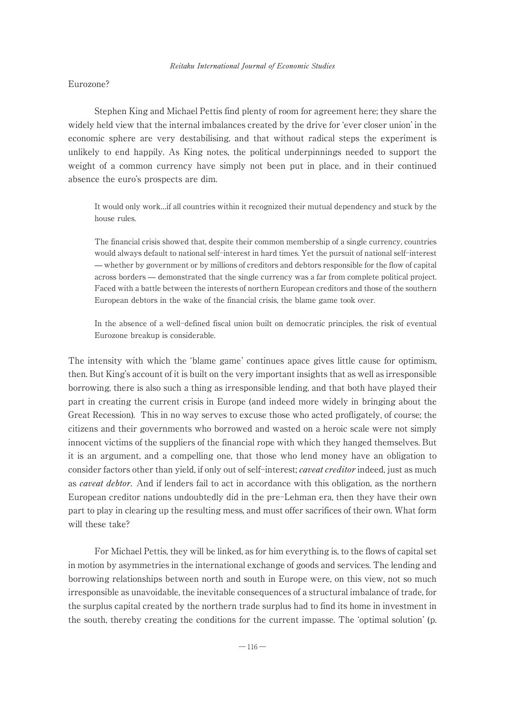## Eurozone?

Stephen King and Michael Pettis find plenty of room for agreement here; they share the widely held view that the internal imbalances created by the drive for ʻever closer union' in the economic sphere are very destabilising, and that without radical steps the experiment is unlikely to end happily.As King notes, the political underpinnings needed to support the weight of a common currency have simply not been put in place, and in their continued absence the euro's prospects are dim.

It would only work…if all countries within it recognized their mutual dependency and stuck by the house rules.

The financial crisis showed that, despite their common membership of a single currency, countries would always default to national self-interest in hard times.Yet the pursuit of national self-interest ̶ whether by government or by millions of creditors and debtors responsible for the flow of capital across borders ̶ demonstrated that the single currency was a far from complete political project. Faced with a battle between the interests of northern European creditors and those of the southern European debtors in the wake of the financial crisis, the blame game took over.

In the absence of a well-defined fiscal union built on democratic principles, the risk of eventual Eurozone breakup is considerable.

The intensity with which the ʻblame game' continues apace gives little cause for optimism, then.But King's account of it is built on the very important insights that as well as irresponsible borrowing, there is also such a thing as irresponsible lending, and that both have played their part in creating the current crisis in Europe (and indeed more widely in bringing about the Great Recession). This in no way serves to excuse those who acted profligately, of course; the citizens and their governments who borrowed and wasted on a heroic scale were not simply innocent victims of the suppliers of the financial rope with which they hanged themselves. But it is an argument, and a compelling one, that those who lend money have an obligation to consider factors other than yield, if only out of self-interest; *caveat creditor* indeed, just as much as caveat debtor. And if lenders fail to act in accordance with this obligation, as the northern European creditor nations undoubtedly did in the pre-Lehman era, then they have their own part to play in clearing up the resulting mess, and must offer sacrifices of their own.What form will these take?

For Michael Pettis, they will be linked, as for him everything is, to the flows of capital set in motion by asymmetries in the international exchange of goods and services.The lending and borrowing relationships between north and south in Europe were, on this view, not so much irresponsible as unavoidable, the inevitable consequences of a structural imbalance of trade, for the surplus capital created by the northern trade surplus had to find its home in investment in the south, thereby creating the conditions for the current impasse.The ʻoptimal solution' (p.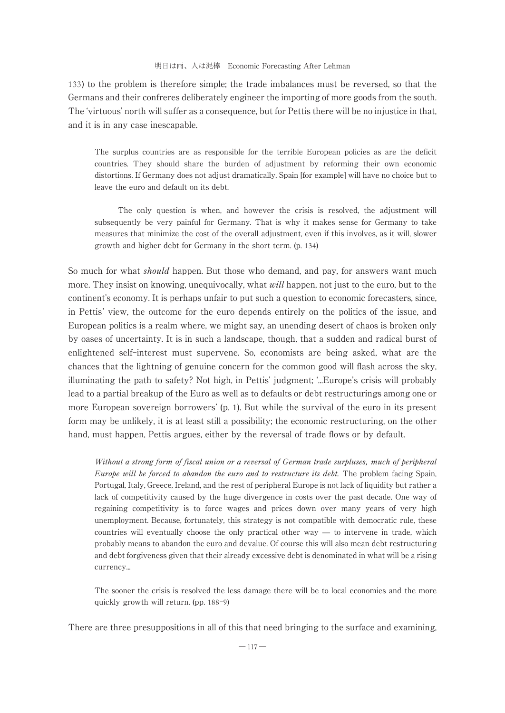133) to the problem is therefore simple; the trade imbalances must be reversed, so that the Germans and their confreres deliberately engineer the importing of more goods from the south. The ʻvirtuous' north will suffer as a consequence, but for Pettis there will be no injustice in that, and it is in any case inescapable.

The surplus countries are as responsible for the terrible European policies as are the deficit countries.They should share the burden of adjustment by reforming their own economic distortions.If Germany does not adjust dramatically, Spain [for example] will have no choice but to leave the euro and default on its debt.

The only question is when, and however the crisis is resolved, the adjustment will subsequently be very painful for Germany.That is why it makes sense for Germany to take measures that minimize the cost of the overall adjustment, even if this involves, as it will, slower growth and higher debt for Germany in the short term.(p. 134)

So much for what *should* happen. But those who demand, and pay, for answers want much more. They insist on knowing, unequivocally, what *will* happen, not just to the euro, but to the continent's economy.It is perhaps unfair to put such a question to economic forecasters, since, in Pettis' view, the outcome for the euro depends entirely on the politics of the issue, and European politics is a realm where, we might say, an unending desert of chaos is broken only by oases of uncertainty.It is in such a landscape, though, that a sudden and radical burst of enlightened self-interest must supervene.So, economists are being asked, what are the chances that the lightning of genuine concern for the common good will flash across the sky, illuminating the path to safety? Not high, in Pettis' judgment; ʻ...Europe's crisis will probably lead to a partial breakup of the Euro as well as to defaults or debt restructurings among one or more European sovereign borrowers' (p. 1).But while the survival of the euro in its present form may be unlikely, it is at least still a possibility; the economic restructuring, on the other hand, must happen, Pettis argues, either by the reversal of trade flows or by default.

Without a strong form of fiscal union or a reversal of German trade surpluses, much of peripheral Europe will be forced to abandon the euro and to restructure its debt. The problem facing Spain, Portugal, Italy, Greece, Ireland, and the rest of peripheral Europe is not lack of liquidity but rather a lack of competitivity caused by the huge divergence in costs over the past decade. One way of regaining competitivity is to force wages and prices down over many years of very high unemployment.Because, fortunately, this strategy is not compatible with democratic rule, these countries will eventually choose the only practical other  $way - to$  intervene in trade, which probably means to abandon the euro and devalue.Of course this will also mean debt restructuring and debt forgiveness given that their already excessive debt is denominated in what will be a rising currency...

The sooner the crisis is resolved the less damage there will be to local economies and the more quickly growth will return.(pp. 188-9)

There are three presuppositions in all of this that need bringing to the surface and examining,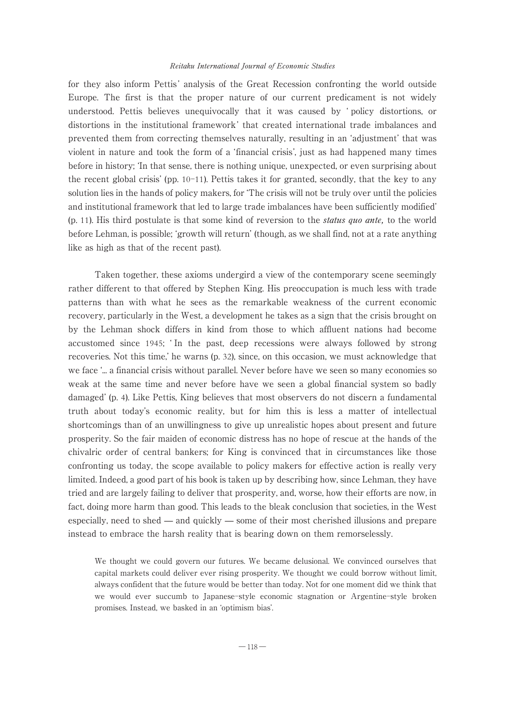for they also inform Pettis ' analysis of the Great Recession confronting the world outside Europe.The first is that the proper nature of our current predicament is not widely understood.Pettis believes unequivocally that it was caused by ʻ policy distortions, or distortions in the institutional framework ' that created international trade imbalances and prevented them from correcting themselves naturally, resulting in an ʻadjustment' that was violent in nature and took the form of a ʻfinancial crisis', just as had happened many times before in history; ʻIn that sense, there is nothing unique, unexpected, or even surprising about the recent global crisis' (pp.  $10-11$ ). Pettis takes it for granted, secondly, that the key to any solution lies in the hands of policy makers, for ʻThe crisis will not be truly over until the policies and institutional framework that led to large trade imbalances have been sufficiently modified' (p. 11).His third postulate is that some kind of reversion to the status quo ante, to the world before Lehman, is possible; ʻgrowth will return' (though, as we shall find, not at a rate anything like as high as that of the recent past).

Taken together, these axioms undergird a view of the contemporary scene seemingly rather different to that offered by Stephen King. His preoccupation is much less with trade patterns than with what he sees as the remarkable weakness of the current economic recovery, particularly in the West, a development he takes as a sign that the crisis brought on by the Lehman shock differs in kind from those to which affluent nations had become accustomed since 1945; ʻ In the past, deep recessions were always followed by strong recoveries.Not this time,' he warns (p. 32), since, on this occasion, we must acknowledge that we face ʻ... a financial crisis without parallel. Never before have we seen so many economies so weak at the same time and never before have we seen a global financial system so badly damaged' (p. 4).Like Pettis, King believes that most observers do not discern a fundamental truth about today's economic reality, but for him this is less a matter of intellectual shortcomings than of an unwillingness to give up unrealistic hopes about present and future prosperity.So the fair maiden of economic distress has no hope of rescue at the hands of the chivalric order of central bankers; for King is convinced that in circumstances like those confronting us today, the scope available to policy makers for effective action is really very limited. Indeed, a good part of his book is taken up by describing how, since Lehman, they have tried and are largely failing to deliver that prosperity, and, worse, how their efforts are now, in fact, doing more harm than good. This leads to the bleak conclusion that societies, in the West especially, need to shed ̶ and quickly ̶ some of their most cherished illusions and prepare instead to embrace the harsh reality that is bearing down on them remorselessly.

We thought we could govern our futures.We became delusional.We convinced ourselves that capital markets could deliver ever rising prosperity.We thought we could borrow without limit, always confident that the future would be better than today.Not for one moment did we think that we would ever succumb to Japanese-style economic stagnation or Argentine-style broken promises.Instead, we basked in an ʻoptimism bias'.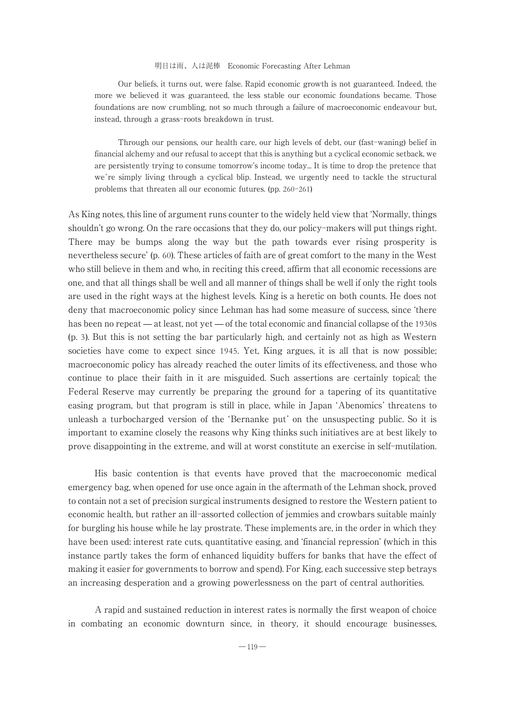Our beliefs, it turns out, were false.Rapid economic growth is not guaranteed.Indeed, the more we believed it was guaranteed, the less stable our economic foundations became.Those foundations are now crumbling, not so much through a failure of macroeconomic endeavour but, instead, through a grass-roots breakdown in trust.

Through our pensions, our health care, our high levels of debt, our (fast-waning) belief in financial alchemy and our refusal to accept that this is anything but a cyclical economic setback, we are persistently trying to consume tomorrow's income today... It is time to drop the pretence that we're simply living through a cyclical blip. Instead, we urgently need to tackle the structural problems that threaten all our economic futures.(pp. 260-261)

As King notes, this line of argument runs counter to the widely held view that ʻNormally, things shouldn't go wrong. On the rare occasions that they do, our policy-makers will put things right. There may be bumps along the way but the path towards ever rising prosperity is nevertheless secure' (p. 60). These articles of faith are of great comfort to the many in the West who still believe in them and who, in reciting this creed, affirm that all economic recessions are one, and that all things shall be well and all manner of things shall be well if only the right tools are used in the right ways at the highest levels.King is a heretic on both counts.He does not deny that macroeconomic policy since Lehman has had some measure of success, since ʻthere has been no repeat — at least, not yet — of the total economic and financial collapse of the 1930s (p. 3).But this is not setting the bar particularly high, and certainly not as high as Western societies have come to expect since 1945. Yet, King argues, it is all that is now possible; macroeconomic policy has already reached the outer limits of its effectiveness, and those who continue to place their faith in it are misguided. Such assertions are certainly topical; the Federal Reserve may currently be preparing the ground for a tapering of its quantitative easing program, but that program is still in place, while in Japan ʻAbenomics' threatens to unleash a turbocharged version of the ʻBernanke put ' on the unsuspecting public.So it is important to examine closely the reasons why King thinks such initiatives are at best likely to prove disappointing in the extreme, and will at worst constitute an exercise in self-mutilation.

His basic contention is that events have proved that the macroeconomic medical emergency bag, when opened for use once again in the aftermath of the Lehman shock, proved to contain not a set of precision surgical instruments designed to restore the Western patient to economic health, but rather an ill-assorted collection of jemmies and crowbars suitable mainly for burgling his house while he lay prostrate. These implements are, in the order in which they have been used: interest rate cuts, quantitative easing, and ʻfinancial repression' (which in this instance partly takes the form of enhanced liquidity buffers for banks that have the effect of making it easier for governments to borrow and spend).For King, each successive step betrays an increasing desperation and a growing powerlessness on the part of central authorities.

A rapid and sustained reduction in interest rates is normally the first weapon of choice in combating an economic downturn since, in theory, it should encourage businesses,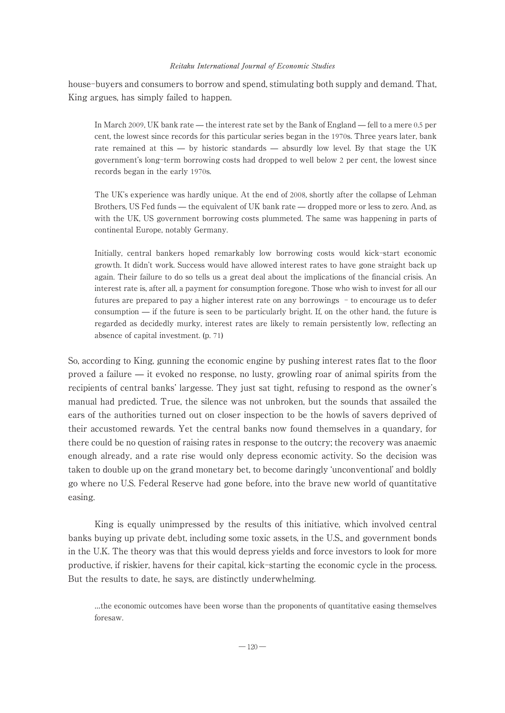house-buyers and consumers to borrow and spend, stimulating both supply and demand. That, King argues, has simply failed to happen.

In March 2009, UK bank rate — the interest rate set by the Bank of England — fell to a mere 0.5 per cent, the lowest since records for this particular series began in the 1970s. Three years later, bank rate remained at this — by historic standards — absurdly low level. By that stage the UK government's long-term borrowing costs had dropped to well below 2 per cent, the lowest since records began in the early 1970s.

The UK's experience was hardly unique.At the end of 2008, shortly after the collapse of Lehman Brothers, US Fed funds — the equivalent of UK bank rate — dropped more or less to zero. And, as with the UK, US government borrowing costs plummeted. The same was happening in parts of continental Europe, notably Germany.

Initially, central bankers hoped remarkably low borrowing costs would kick-start economic growth.It didn't work.Success would have allowed interest rates to have gone straight back up again.Their failure to do so tells us a great deal about the implications of the financial crisis.An interest rate is, after all, a payment for consumption foregone. Those who wish to invest for all our futures are prepared to pay a higher interest rate on any borrowings - to encourage us to defer consumption ̶ if the future is seen to be particularly bright.If, on the other hand, the future is regarded as decidedly murky, interest rates are likely to remain persistently low, reflecting an absence of capital investment.(p. 71)

So, according to King, gunning the economic engine by pushing interest rates flat to the floor proved a failure ̶ it evoked no response, no lusty, growling roar of animal spirits from the recipients of central banks' largesse.They just sat tight, refusing to respond as the owner's manual had predicted.True, the silence was not unbroken, but the sounds that assailed the ears of the authorities turned out on closer inspection to be the howls of savers deprived of their accustomed rewards.Yet the central banks now found themselves in a quandary, for there could be no question of raising rates in response to the outcry; the recovery was anaemic enough already, and a rate rise would only depress economic activity. So the decision was taken to double up on the grand monetary bet, to become daringly ʻunconventional' and boldly go where no U.S. Federal Reserve had gone before, into the brave new world of quantitative easing.

King is equally unimpressed by the results of this initiative, which involved central banks buying up private debt, including some toxic assets, in the U.S., and government bonds in the U.K. The theory was that this would depress yields and force investors to look for more productive, if riskier, havens for their capital, kick-starting the economic cycle in the process. But the results to date, he says, are distinctly underwhelming.

…the economic outcomes have been worse than the proponents of quantitative easing themselves foresaw.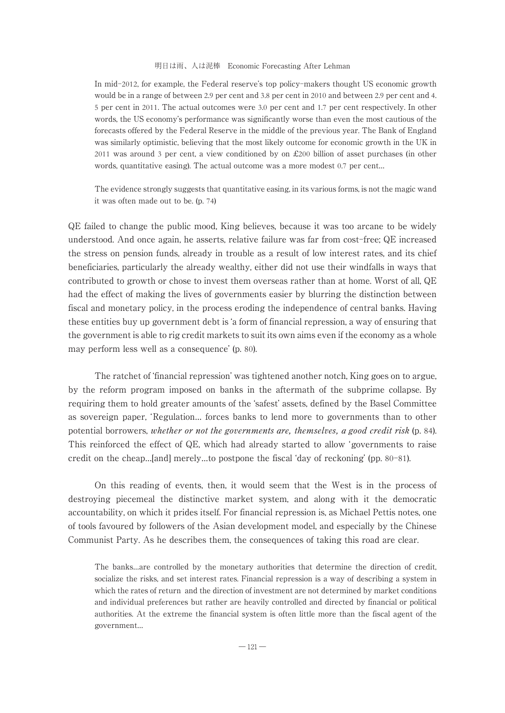In mid-2012, for example, the Federal reserve's top policy-makers thought US economic growth would be in a range of between 2.9 per cent and 3.8 per cent in 2010 and between 2.9 per cent and 4. 5 per cent in 2011.The actual outcomes were 3.0 per cent and 1.7 per cent respectively.In other words, the US economy's performance was significantly worse than even the most cautious of the forecasts offered by the Federal Reserve in the middle of the previous year.The Bank of England was similarly optimistic, believing that the most likely outcome for economic growth in the UK in 2011 was around 3 per cent, a view conditioned by on £200 billion of asset purchases (in other words, quantitative easing). The actual outcome was a more modest 0.7 per cent...

The evidence strongly suggests that quantitative easing, in its various forms, is not the magic wand it was often made out to be.(p. 74)

QE failed to change the public mood, King believes, because it was too arcane to be widely understood.And once again, he asserts, relative failure was far from cost-free; QE increased the stress on pension funds, already in trouble as a result of low interest rates, and its chief beneficiaries, particularly the already wealthy, either did not use their windfalls in ways that contributed to growth or chose to invest them overseas rather than at home. Worst of all, QE had the effect of making the lives of governments easier by blurring the distinction between fiscal and monetary policy, in the process eroding the independence of central banks.Having these entities buy up government debt is ʻa form of financial repression, a way of ensuring that the government is able to rig credit markets to suit its own aims even if the economy as a whole may perform less well as a consequence' (p. 80).

The ratchet of ʻfinancial repression' was tightened another notch, King goes on to argue, by the reform program imposed on banks in the aftermath of the subprime collapse.By requiring them to hold greater amounts of the ʻsafest' assets, defined by the Basel Committee as sovereign paper, ʻRegulation… forces banks to lend more to governments than to other potential borrowers, whether or not the governments are, themselves, a good credit risk (p. 84). This reinforced the effect of QE, which had already started to allow ʻgovernments to raise credit on the cheap…[and] merely…to postpone the fiscal ʻday of reckoning' (pp. 80-81).

On this reading of events, then, it would seem that the West is in the process of destroying piecemeal the distinctive market system, and along with it the democratic accountability, on which it prides itself.For financial repression is, as Michael Pettis notes, one of tools favoured by followers of the Asian development model, and especially by the Chinese Communist Party. As he describes them, the consequences of taking this road are clear.

The banks…are controlled by the monetary authorities that determine the direction of credit, socialize the risks, and set interest rates. Financial repression is a way of describing a system in which the rates of return and the direction of investment are not determined by market conditions and individual preferences but rather are heavily controlled and directed by financial or political authorities.At the extreme the financial system is often little more than the fiscal agent of the government…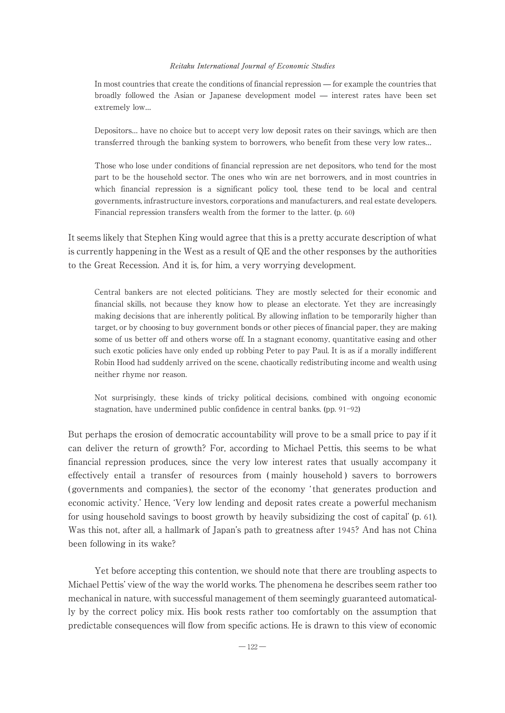In most countries that create the conditions of financial repression ̶ for example the countries that broadly followed the Asian or Japanese development model ̶ interest rates have been set extremely low…

Depositors… have no choice but to accept very low deposit rates on their savings, which are then transferred through the banking system to borrowers, who benefit from these very low rates…

Those who lose under conditions of financial repression are net depositors, who tend for the most part to be the household sector.The ones who win are net borrowers, and in most countries in which financial repression is a significant policy tool, these tend to be local and central governments, infrastructure investors, corporations and manufacturers, and real estate developers. Financial repression transfers wealth from the former to the latter.(p. 60)

It seems likely that Stephen King would agree that this is a pretty accurate description of what is currently happening in the West as a result of QE and the other responses by the authorities to the Great Recession.And it is, for him, a very worrying development.

Central bankers are not elected politicians.They are mostly selected for their economic and financial skills, not because they know how to please an electorate.Yet they are increasingly making decisions that are inherently political.By allowing inflation to be temporarily higher than target, or by choosing to buy government bonds or other pieces of financial paper, they are making some of us better off and others worse off.In a stagnant economy, quantitative easing and other such exotic policies have only ended up robbing Peter to pay Paul.It is as if a morally indifferent Robin Hood had suddenly arrived on the scene, chaotically redistributing income and wealth using neither rhyme nor reason.

Not surprisingly, these kinds of tricky political decisions, combined with ongoing economic stagnation, have undermined public confidence in central banks.(pp. 91-92)

But perhaps the erosion of democratic accountability will prove to be a small price to pay if it can deliver the return of growth? For, according to Michael Pettis, this seems to be what financial repression produces, since the very low interest rates that usually accompany it effectively entail a transfer of resources from ( mainly household ) savers to borrowers ( governments and companies ), the sector of the economy ʻ that generates production and economic activity.' Hence, ʻVery low lending and deposit rates create a powerful mechanism for using household savings to boost growth by heavily subsidizing the cost of capital' (p. 61). Was this not, after all, a hallmark of Japan's path to greatness after 1945? And has not China been following in its wake?

Yet before accepting this contention, we should note that there are troubling aspects to Michael Pettis' view of the way the world works.The phenomena he describes seem rather too mechanical in nature, with successful management of them seemingly guaranteed automatically by the correct policy mix.His book rests rather too comfortably on the assumption that predictable consequences will flow from specific actions.He is drawn to this view of economic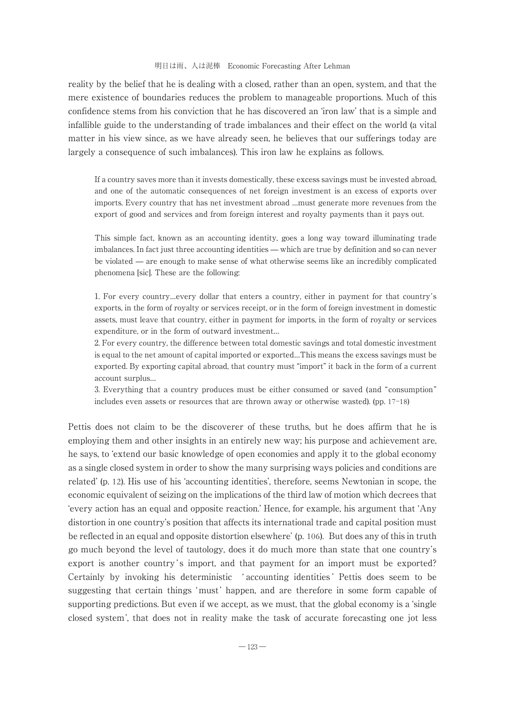reality by the belief that he is dealing with a closed, rather than an open, system, and that the mere existence of boundaries reduces the problem to manageable proportions. Much of this confidence stems from his conviction that he has discovered an ʻiron law' that is a simple and infallible guide to the understanding of trade imbalances and their effect on the world (a vital matter in his view since, as we have already seen, he believes that our sufferings today are largely a consequence of such imbalances).This iron law he explains as follows.

If a country saves more than it invests domestically, these excess savings must be invested abroad, and one of the automatic consequences of net foreign investment is an excess of exports over imports.Every country that has net investment abroad …must generate more revenues from the export of good and services and from foreign interest and royalty payments than it pays out.

This simple fact, known as an accounting identity, goes a long way toward illuminating trade imbalances.In fact just three accounting identities ̶ which are true by definition and so can never be violated ̶ are enough to make sense of what otherwise seems like an incredibly complicated phenomena [sic]. These are the following:

1.For every country…every dollar that enters a country, either in payment for that country's exports, in the form of royalty or services receipt, or in the form of foreign investment in domestic assets, must leave that country, either in payment for imports, in the form of royalty or services expenditure, or in the form of outward investment…

2.For every country, the difference between total domestic savings and total domestic investment is equal to the net amount of capital imported or exported…This means the excess savings must be exported.By exporting capital abroad, that country must "import" it back in the form of a current account surplus…

3.Everything that a country produces must be either consumed or saved (and "consumption" includes even assets or resources that are thrown away or otherwise wasted).(pp. 17-18)

Pettis does not claim to be the discoverer of these truths, but he does affirm that he is employing them and other insights in an entirely new way; his purpose and achievement are, he says, to ʻextend our basic knowledge of open economies and apply it to the global economy as a single closed system in order to show the many surprising ways policies and conditions are related' (p. 12).His use of his ʻaccounting identities', therefore, seems Newtonian in scope, the economic equivalent of seizing on the implications of the third law of motion which decrees that ʻevery action has an equal and opposite reaction.' Hence, for example, his argument that ʻAny distortion in one country's position that affects its international trade and capital position must be reflected in an equal and opposite distortion elsewhere' (p. 106). But does any of this in truth go much beyond the level of tautology, does it do much more than state that one country's export is another country's import, and that payment for an import must be exported? Certainly by invoking his deterministic ʻ accounting identities ' Pettis does seem to be suggesting that certain things 'must' happen, and are therefore in some form capable of supporting predictions. But even if we accept, as we must, that the global economy is a 'single closed system ', that does not in reality make the task of accurate forecasting one jot less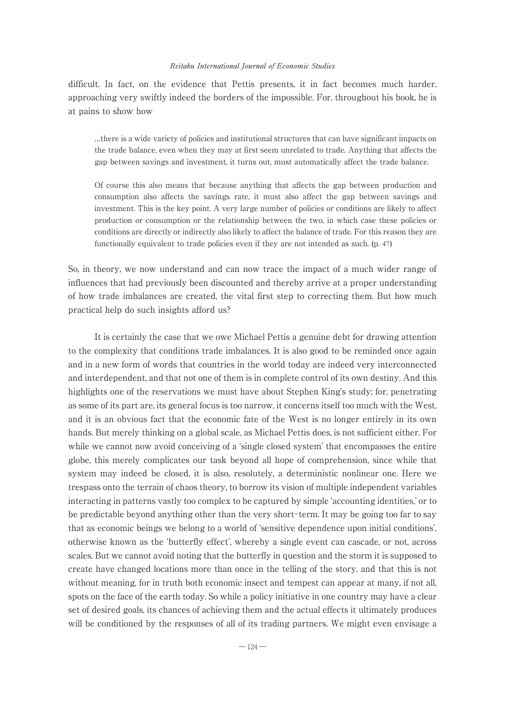difficult. In fact, on the evidence that Pettis presents, it in fact becomes much harder, approaching very swiftly indeed the borders of the impossible.For, throughout his book, he is at pains to show how

…there is a wide variety of policies and institutional structures that can have significant impacts on the trade balance, even when they may at first seem unrelated to trade.Anything that affects the gap between savings and investment, it turns out, must automatically affect the trade balance.

Of course this also means that because anything that affects the gap between production and consumption also affects the savings rate, it must also affect the gap between savings and investment. This is the key point. A very large number of policies or conditions are likely to affect production or consumption or the relationship between the two, in which case these policies or conditions are directly or indirectly also likely to affect the balance of trade.For this reason they are functionally equivalent to trade policies even if they are not intended as such.(p. 47)

So, in theory, we now understand and can now trace the impact of a much wider range of influences that had previously been discounted and thereby arrive at a proper understanding of how trade imbalances are created, the vital first step to correcting them.But how much practical help do such insights afford us?

It is certainly the case that we owe Michael Pettis a genuine debt for drawing attention to the complexity that conditions trade imbalances.It is also good to be reminded once again and in a new form of words that countries in the world today are indeed very interconnected and interdependent, and that not one of them is in complete control of its own destiny.And this highlights one of the reservations we must have about Stephen King's study; for, penetrating as some of its part are, its general focus is too narrow, it concerns itself too much with the West, and it is an obvious fact that the economic fate of the West is no longer entirely in its own hands. But merely thinking on a global scale, as Michael Pettis does, is not sufficient either. For while we cannot now avoid conceiving of a ʻsingle closed system' that encompasses the entire globe, this merely complicates our task beyond all hope of comprehension, since while that system may indeed be closed, it is also, resolutely, a deterministic nonlinear one.Here we trespass onto the terrain of chaos theory, to borrow its vision of multiple independent variables interacting in patterns vastly too complex to be captured by simple ʻaccounting identities,' or to be predictable beyond anything other than the very short-term.It may be going too far to say that as economic beings we belong to a world of ʻsensitive dependence upon initial conditions', otherwise known as the ʻbutterfly effect', whereby a single event can cascade, or not, across scales.But we cannot avoid noting that the butterfly in question and the storm it is supposed to create have changed locations more than once in the telling of the story, and that this is not without meaning, for in truth both economic insect and tempest can appear at many, if not all, spots on the face of the earth today.So while a policy initiative in one country may have a clear set of desired goals, its chances of achieving them and the actual effects it ultimately produces will be conditioned by the responses of all of its trading partners. We might even envisage a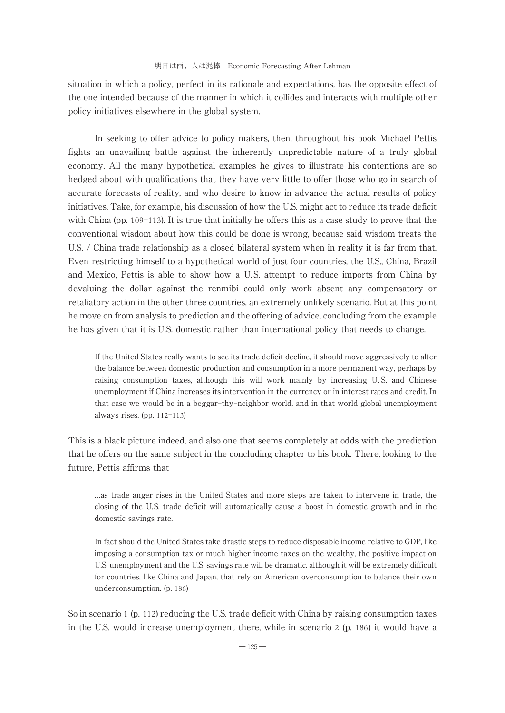situation in which a policy, perfect in its rationale and expectations, has the opposite effect of the one intended because of the manner in which it collides and interacts with multiple other policy initiatives elsewhere in the global system.

In seeking to offer advice to policy makers, then, throughout his book Michael Pettis fights an unavailing battle against the inherently unpredictable nature of a truly global economy.All the many hypothetical examples he gives to illustrate his contentions are so hedged about with qualifications that they have very little to offer those who go in search of accurate forecasts of reality, and who desire to know in advance the actual results of policy initiatives.Take, for example, his discussion of how the U.S.might act to reduce its trade deficit with China (pp.  $109-113$ ). It is true that initially he offers this as a case study to prove that the conventional wisdom about how this could be done is wrong, because said wisdom treats the U.S. / China trade relationship as a closed bilateral system when in reality it is far from that. Even restricting himself to a hypothetical world of just four countries, the U.S., China, Brazil and Mexico, Pettis is able to show how a U.S. attempt to reduce imports from China by devaluing the dollar against the renmibi could only work absent any compensatory or retaliatory action in the other three countries, an extremely unlikely scenario. But at this point he move on from analysis to prediction and the offering of advice, concluding from the example he has given that it is U.S. domestic rather than international policy that needs to change.

If the United States really wants to see its trade deficit decline, it should move aggressively to alter the balance between domestic production and consumption in a more permanent way, perhaps by raising consumption taxes, although this will work mainly by increasing U.S. and Chinese unemployment if China increases its intervention in the currency or in interest rates and credit.In that case we would be in a beggar-thy-neighbor world, and in that world global unemployment always rises.(pp. 112-113)

This is a black picture indeed, and also one that seems completely at odds with the prediction that he offers on the same subject in the concluding chapter to his book.There, looking to the future, Pettis affirms that

…as trade anger rises in the United States and more steps are taken to intervene in trade, the closing of the U.S. trade deficit will automatically cause a boost in domestic growth and in the domestic savings rate.

In fact should the United States take drastic steps to reduce disposable income relative to GDP, like imposing a consumption tax or much higher income taxes on the wealthy, the positive impact on U.S. unemployment and the U.S. savings rate will be dramatic, although it will be extremely difficult for countries, like China and Japan, that rely on American overconsumption to balance their own underconsumption.(p. 186)

So in scenario 1 (p. 112) reducing the U.S. trade deficit with China by raising consumption taxes in the U.S. would increase unemployment there, while in scenario 2 (p. 186) it would have a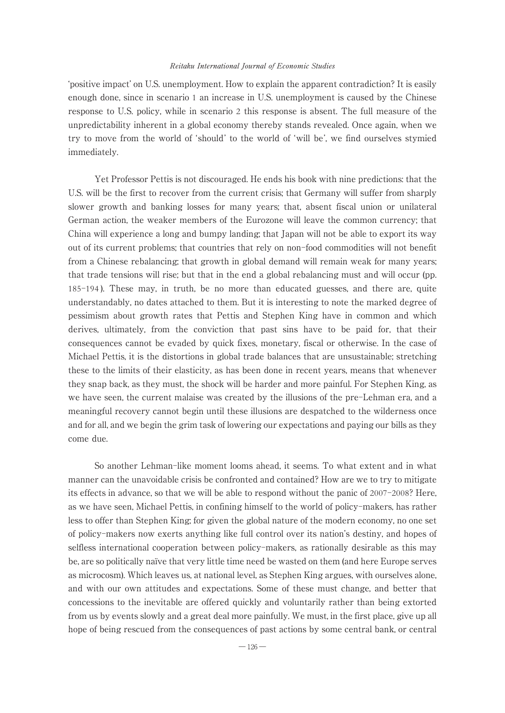ʻpositive impact' on U.S.unemployment.How to explain the apparent contradiction? It is easily enough done, since in scenario 1 an increase in U.S. unemployment is caused by the Chinese response to U.S. policy, while in scenario 2 this response is absent.The full measure of the unpredictability inherent in a global economy thereby stands revealed.Once again, when we try to move from the world of ʻshould' to the world of ʻwill be', we find ourselves stymied immediately.

Yet Professor Pettis is not discouraged.He ends his book with nine predictions: that the U.S. will be the first to recover from the current crisis; that Germany will suffer from sharply slower growth and banking losses for many years; that, absent fiscal union or unilateral German action, the weaker members of the Eurozone will leave the common currency; that China will experience a long and bumpy landing; that Japan will not be able to export its way out of its current problems; that countries that rely on non-food commodities will not benefit from a Chinese rebalancing; that growth in global demand will remain weak for many years; that trade tensions will rise; but that in the end a global rebalancing must and will occur (pp. 185-194). These may, in truth, be no more than educated guesses, and there are, quite understandably, no dates attached to them.But it is interesting to note the marked degree of pessimism about growth rates that Pettis and Stephen King have in common and which derives, ultimately, from the conviction that past sins have to be paid for, that their consequences cannot be evaded by quick fixes, monetary, fiscal or otherwise.In the case of Michael Pettis, it is the distortions in global trade balances that are unsustainable; stretching these to the limits of their elasticity, as has been done in recent years, means that whenever they snap back, as they must, the shock will be harder and more painful.For Stephen King, as we have seen, the current malaise was created by the illusions of the pre-Lehman era, and a meaningful recovery cannot begin until these illusions are despatched to the wilderness once and for all, and we begin the grim task of lowering our expectations and paying our bills as they come due.

So another Lehman-like moment looms ahead, it seems.To what extent and in what manner can the unavoidable crisis be confronted and contained? How are we to try to mitigate its effects in advance, so that we will be able to respond without the panic of 2007-2008? Here, as we have seen, Michael Pettis, in confining himself to the world of policy-makers, has rather less to offer than Stephen King; for given the global nature of the modern economy, no one set of policy-makers now exerts anything like full control over its nation's destiny, and hopes of selfless international cooperation between policy-makers, as rationally desirable as this may be, are so politically naïve that very little time need be wasted on them (and here Europe serves as microcosm).Which leaves us, at national level, as Stephen King argues, with ourselves alone, and with our own attitudes and expectations.Some of these must change, and better that concessions to the inevitable are offered quickly and voluntarily rather than being extorted from us by events slowly and a great deal more painfully.We must, in the first place, give up all hope of being rescued from the consequences of past actions by some central bank, or central